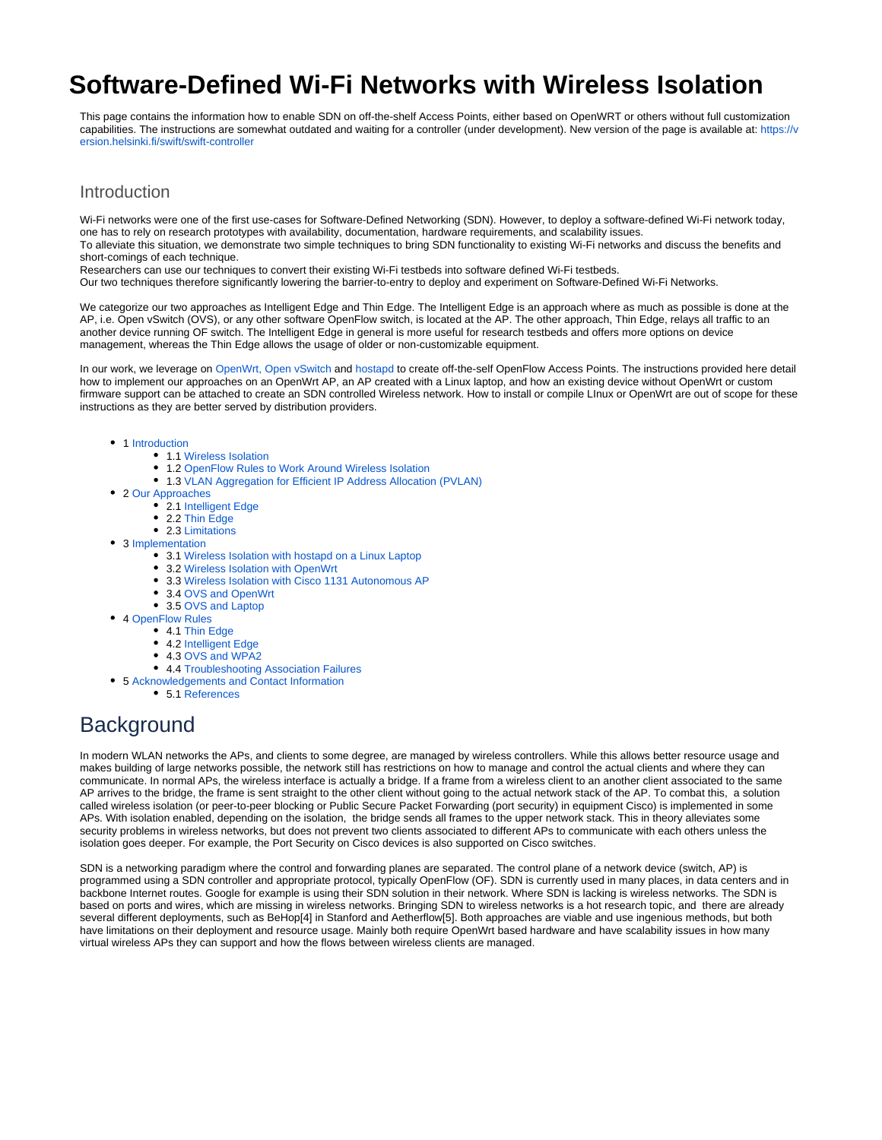# **Software-Defined Wi-Fi Networks with Wireless Isolation**

This page contains the information how to enable SDN on off-the-shelf Access Points, either based on OpenWRT or others without full customization capabilities. The instructions are somewhat outdated and waiting for a controller (under development). New version of the page is available at: [https://v](https://version.helsinki.fi/swift/swift-controller) [ersion.helsinki.fi/swift/swift-controller](https://version.helsinki.fi/swift/swift-controller)

## <span id="page-0-0"></span>Introduction

Wi-Fi networks were one of the first use-cases for Software-Defined Networking (SDN). However, to deploy a software-defined Wi-Fi network today, one has to rely on research prototypes with availability, documentation, hardware requirements, and scalability issues. To alleviate this situation, we demonstrate two simple techniques to bring SDN functionality to existing Wi-Fi networks and discuss the benefits and short-comings of each technique.

Researchers can use our techniques to convert their existing Wi-Fi testbeds into software defined Wi-Fi testbeds.

Our two techniques therefore significantly lowering the barrier-to-entry to deploy and experiment on Software-Defined Wi-Fi Networks.

We categorize our two approaches as Intelligent Edge and Thin Edge. The Intelligent Edge is an approach where as much as possible is done at the AP, i.e. Open vSwitch (OVS), or any other software OpenFlow switch, is located at the AP. The other approach, Thin Edge, relays all traffic to an another device running OF switch. The Intelligent Edge in general is more useful for research testbeds and offers more options on device management, whereas the Thin Edge allows the usage of older or non-customizable equipment.

In our work, we leverage on [OpenWrt,](https://openwrt.org/) [Open vSwitch](http://openvswitch.org/) and [hostapd](https://w1.fi/hostapd/) to create off-the-self OpenFlow Access Points. The instructions provided here detail how to implement our approaches on an OpenWrt AP, an AP created with a Linux laptop, and how an existing device without OpenWrt or custom firmware support can be attached to create an SDN controlled Wireless network. How to install or compile LInux or OpenWrt are out of scope for these instructions as they are better served by distribution providers.

#### • 1 [Introduction](#page-0-0)

- 1.1 [Wireless Isolation](#page-1-0)
- 1.2 [OpenFlow Rules to Work Around Wireless Isolation](#page-1-1)
- 1.3 [VLAN Aggregation for Efficient IP Address Allocation \(PVLAN\)](#page-1-2)
- 2 [Our Approaches](#page-1-3)
	- 2.1 [Intelligent Edge](#page-1-4)
	- 2.2 [Thin Edge](#page-2-0)
	- 2.3 [Limitations](#page-3-0)
- 3 [Implementation](#page-3-1)
	- 3.1 [Wireless Isolation with hostapd on a Linux Laptop](#page-3-2)
	- 3.2 [Wireless Isolation with OpenWrt](#page-4-0)
	- 3.3 [Wireless Isolation with Cisco 1131 Autonomous AP](#page-4-1)
	- $\bullet$ 3.4 [OVS and OpenWrt](#page-5-0)
	- 3.5 [OVS and Laptop](#page-6-0)
- 4 [OpenFlow Rules](#page-6-1)
- 4.1 [Thin Edge](#page-6-2)
	- 4.2 [Intelligent Edge](#page-7-0)
	- 4.3 [OVS and WPA2](#page-7-1)
	- 4.4 [Troubleshooting Association Failures](#page-7-2)
- 5 [Acknowledgements and Contact Information](#page-8-0)
	- 5.1 [References](#page-8-1)

## **Background**

In modern WLAN networks the APs, and clients to some degree, are managed by wireless controllers. While this allows better resource usage and makes building of large networks possible, the network still has restrictions on how to manage and control the actual clients and where they can communicate. In normal APs, the wireless interface is actually a bridge. If a frame from a wireless client to an another client associated to the same AP arrives to the bridge, the frame is sent straight to the other client without going to the actual network stack of the AP. To combat this, a solution called wireless isolation (or peer-to-peer blocking or Public Secure Packet Forwarding (port security) in equipment Cisco) is implemented in some APs. With isolation enabled, depending on the isolation, the bridge sends all frames to the upper network stack. This in theory alleviates some security problems in wireless networks, but does not prevent two clients associated to different APs to communicate with each others unless the isolation goes deeper. For example, the Port Security on Cisco devices is also supported on Cisco switches.

SDN is a networking paradigm where the control and forwarding planes are separated. The control plane of a network device (switch, AP) is programmed using a SDN controller and appropriate protocol, typically OpenFlow (OF). SDN is currently used in many places, in data centers and in backbone Internet routes. Google for example is using their SDN solution in their network. Where SDN is lacking is wireless networks. The SDN is based on ports and wires, which are missing in wireless networks. Bringing SDN to wireless networks is a hot research topic, and there are already several different deployments, such as BeHop[4] in Stanford and Aetherflow[5]. Both approaches are viable and use ingenious methods, but both have limitations on their deployment and resource usage. Mainly both require OpenWrt based hardware and have scalability issues in how many virtual wireless APs they can support and how the flows between wireless clients are managed.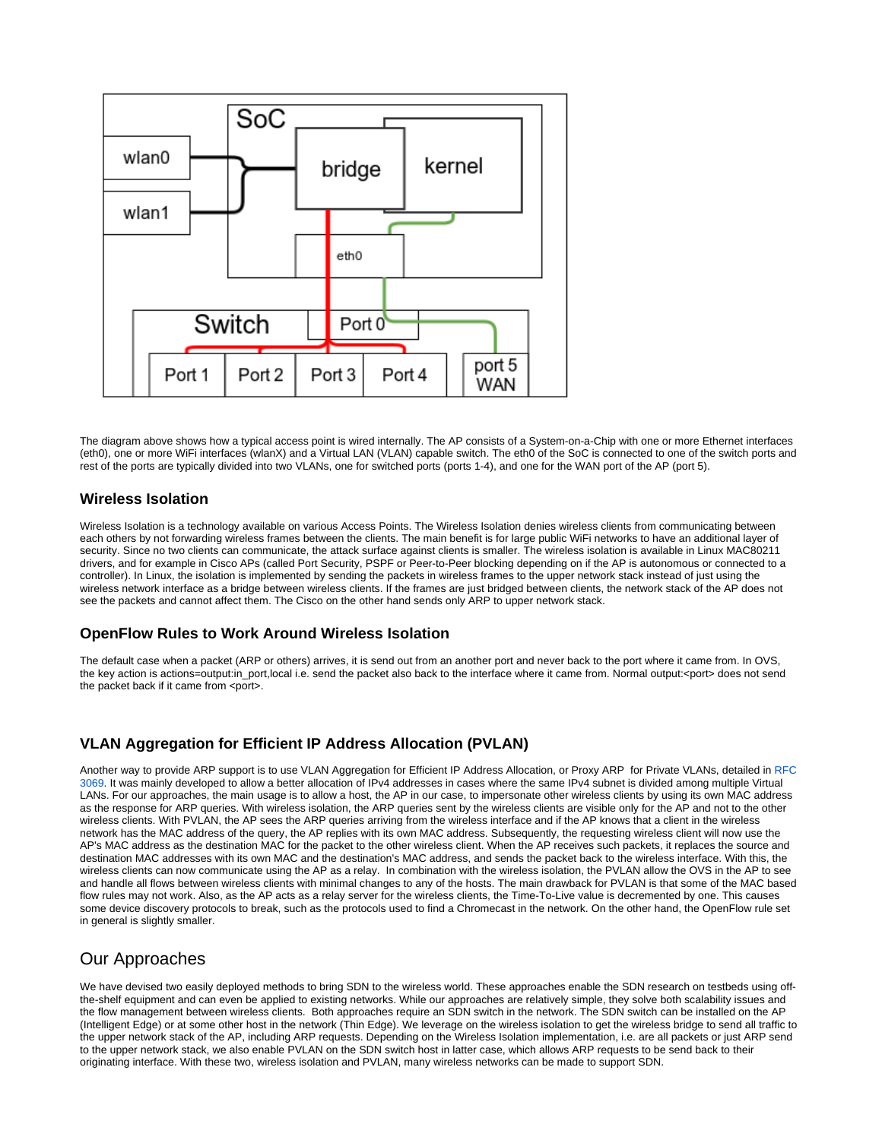

The diagram above shows how a typical access point is wired internally. The AP consists of a System-on-a-Chip with one or more Ethernet interfaces (eth0), one or more WiFi interfaces (wlanX) and a Virtual LAN (VLAN) capable switch. The eth0 of the SoC is connected to one of the switch ports and rest of the ports are typically divided into two VLANs, one for switched ports (ports 1-4), and one for the WAN port of the AP (port 5).

## <span id="page-1-0"></span>**Wireless Isolation**

Wireless Isolation is a technology available on various Access Points. The Wireless Isolation denies wireless clients from communicating between each others by not forwarding wireless frames between the clients. The main benefit is for large public WiFi networks to have an additional layer of security. Since no two clients can communicate, the attack surface against clients is smaller. The wireless isolation is available in Linux MAC80211 drivers, and for example in Cisco APs (called Port Security, PSPF or Peer-to-Peer blocking depending on if the AP is autonomous or connected to a controller). In Linux, the isolation is implemented by sending the packets in wireless frames to the upper network stack instead of just using the wireless network interface as a bridge between wireless clients. If the frames are just bridged between clients, the network stack of the AP does not see the packets and cannot affect them. The Cisco on the other hand sends only ARP to upper network stack.

## <span id="page-1-1"></span>**OpenFlow Rules to Work Around Wireless Isolation**

The default case when a packet (ARP or others) arrives, it is send out from an another port and never back to the port where it came from. In OVS, the key action is actions=output:in\_port,local i.e. send the packet also back to the interface where it came from. Normal output:<port> does not send the packet back if it came from <port>.

## <span id="page-1-2"></span>**VLAN Aggregation for Efficient IP Address Allocation (PVLAN)**

Another way to provide ARP support is to use VLAN Aggregation for Efficient IP Address Allocation, or Proxy ARP for Private VLANs, detailed in [RFC](https://tools.ietf.org/html/rfc3069/)  [3069](https://tools.ietf.org/html/rfc3069/). It was mainly developed to allow a better allocation of IPv4 addresses in cases where the same IPv4 subnet is divided among multiple Virtual LANs. For our approaches, the main usage is to allow a host, the AP in our case, to impersonate other wireless clients by using its own MAC address as the response for ARP queries. With wireless isolation, the ARP queries sent by the wireless clients are visible only for the AP and not to the other wireless clients. With PVLAN, the AP sees the ARP queries arriving from the wireless interface and if the AP knows that a client in the wireless network has the MAC address of the query, the AP replies with its own MAC address. Subsequently, the requesting wireless client will now use the AP's MAC address as the destination MAC for the packet to the other wireless client. When the AP receives such packets, it replaces the source and destination MAC addresses with its own MAC and the destination's MAC address, and sends the packet back to the wireless interface. With this, the wireless clients can now communicate using the AP as a relay. In combination with the wireless isolation, the PVLAN allow the OVS in the AP to see and handle all flows between wireless clients with minimal changes to any of the hosts. The main drawback for PVLAN is that some of the MAC based flow rules may not work. Also, as the AP acts as a relay server for the wireless clients, the Time-To-Live value is decremented by one. This causes some device discovery protocols to break, such as the protocols used to find a Chromecast in the network. On the other hand, the OpenFlow rule set in general is slightly smaller.

## <span id="page-1-3"></span>Our Approaches

<span id="page-1-4"></span>We have devised two easily deployed methods to bring SDN to the wireless world. These approaches enable the SDN research on testbeds using offthe-shelf equipment and can even be applied to existing networks. While our approaches are relatively simple, they solve both scalability issues and the flow management between wireless clients. Both approaches require an SDN switch in the network. The SDN switch can be installed on the AP (Intelligent Edge) or at some other host in the network (Thin Edge). We leverage on the wireless isolation to get the wireless bridge to send all traffic to the upper network stack of the AP, including ARP requests. Depending on the Wireless Isolation implementation, i.e. are all packets or just ARP send to the upper network stack, we also enable PVLAN on the SDN switch host in latter case, which allows ARP requests to be send back to their originating interface. With these two, wireless isolation and PVLAN, many wireless networks can be made to support SDN.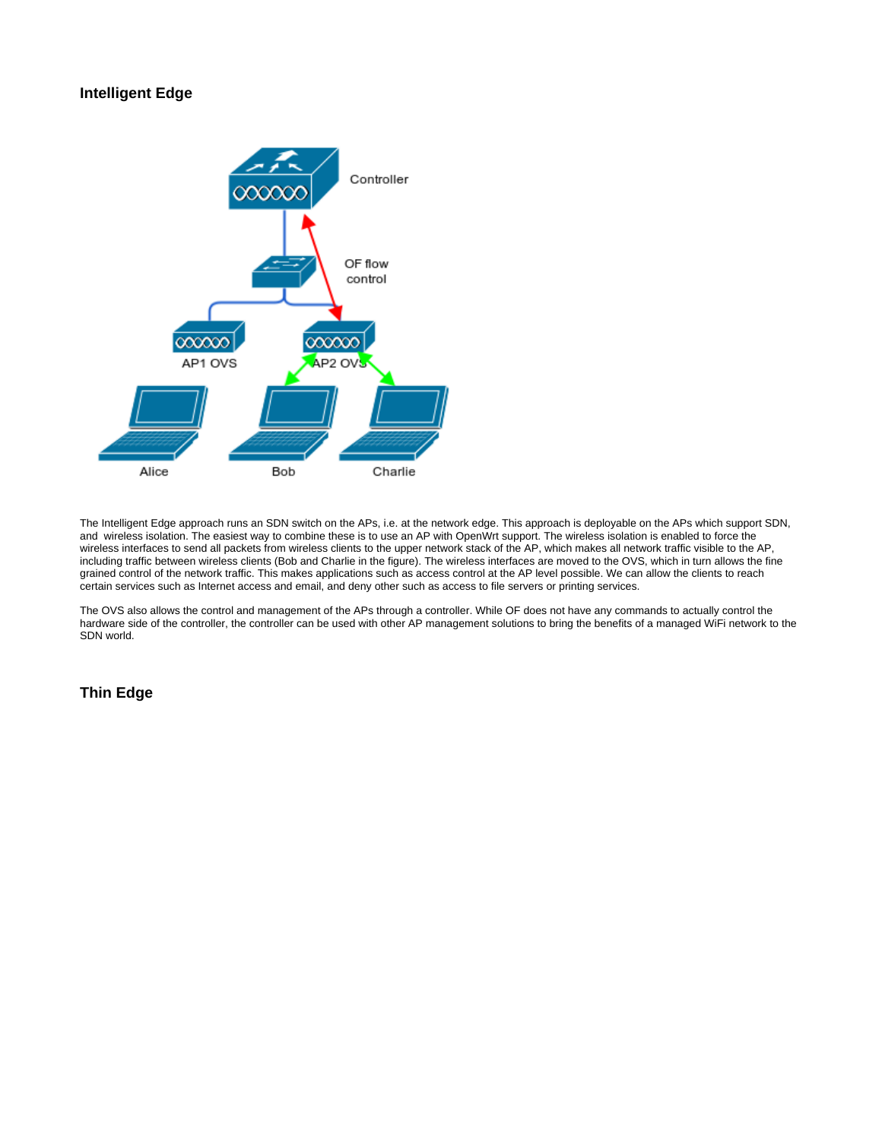## **Intelligent Edge**



The Intelligent Edge approach runs an SDN switch on the APs, i.e. at the network edge. This approach is deployable on the APs which support SDN, and wireless isolation. The easiest way to combine these is to use an AP with OpenWrt support. The wireless isolation is enabled to force the wireless interfaces to send all packets from wireless clients to the upper network stack of the AP, which makes all network traffic visible to the AP, including traffic between wireless clients (Bob and Charlie in the figure). The wireless interfaces are moved to the OVS, which in turn allows the fine grained control of the network traffic. This makes applications such as access control at the AP level possible. We can allow the clients to reach certain services such as Internet access and email, and deny other such as access to file servers or printing services.

The OVS also allows the control and management of the APs through a controller. While OF does not have any commands to actually control the hardware side of the controller, the controller can be used with other AP management solutions to bring the benefits of a managed WiFi network to the SDN world.

## <span id="page-2-0"></span>**Thin Edge**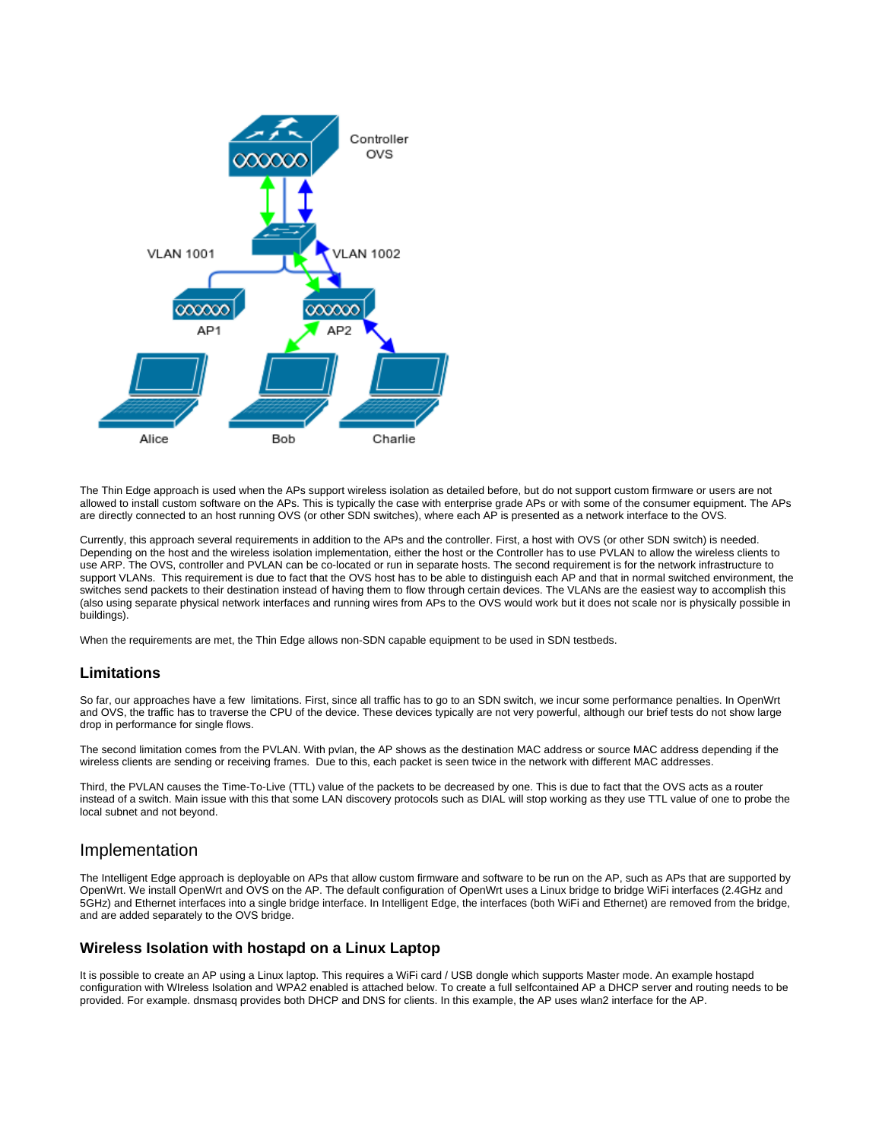

The Thin Edge approach is used when the APs support wireless isolation as detailed before, but do not support custom firmware or users are not allowed to install custom software on the APs. This is typically the case with enterprise grade APs or with some of the consumer equipment. The APs are directly connected to an host running OVS (or other SDN switches), where each AP is presented as a network interface to the OVS.

Currently, this approach several requirements in addition to the APs and the controller. First, a host with OVS (or other SDN switch) is needed. Depending on the host and the wireless isolation implementation, either the host or the Controller has to use PVLAN to allow the wireless clients to use ARP. The OVS, controller and PVLAN can be co-located or run in separate hosts. The second requirement is for the network infrastructure to support VLANs. This requirement is due to fact that the OVS host has to be able to distinguish each AP and that in normal switched environment, the switches send packets to their destination instead of having them to flow through certain devices. The VLANs are the easiest way to accomplish this (also using separate physical network interfaces and running wires from APs to the OVS would work but it does not scale nor is physically possible in buildings).

When the requirements are met, the Thin Edge allows non-SDN capable equipment to be used in SDN testbeds.

## <span id="page-3-0"></span>**Limitations**

So far, our approaches have a few limitations. First, since all traffic has to go to an SDN switch, we incur some performance penalties. In OpenWrt and OVS, the traffic has to traverse the CPU of the device. These devices typically are not very powerful, although our brief tests do not show large drop in performance for single flows.

The second limitation comes from the PVLAN. With pvlan, the AP shows as the destination MAC address or source MAC address depending if the wireless clients are sending or receiving frames. Due to this, each packet is seen twice in the network with different MAC addresses.

Third, the PVLAN causes the Time-To-Live (TTL) value of the packets to be decreased by one. This is due to fact that the OVS acts as a router instead of a switch. Main issue with this that some LAN discovery protocols such as DIAL will stop working as they use TTL value of one to probe the local subnet and not beyond.

## <span id="page-3-1"></span>Implementation

The Intelligent Edge approach is deployable on APs that allow custom firmware and software to be run on the AP, such as APs that are supported by OpenWrt. We install OpenWrt and OVS on the AP. The default configuration of OpenWrt uses a Linux bridge to bridge WiFi interfaces (2.4GHz and 5GHz) and Ethernet interfaces into a single bridge interface. In Intelligent Edge, the interfaces (both WiFi and Ethernet) are removed from the bridge, and are added separately to the OVS bridge.

## <span id="page-3-2"></span>**Wireless Isolation with hostapd on a Linux Laptop**

It is possible to create an AP using a Linux laptop. This requires a WiFi card / USB dongle which supports Master mode. An example hostapd configuration with WIreless Isolation and WPA2 enabled is attached below. To create a full selfcontained AP a DHCP server and routing needs to be provided. For example. dnsmasq provides both DHCP and DNS for clients. In this example, the AP uses wlan2 interface for the AP.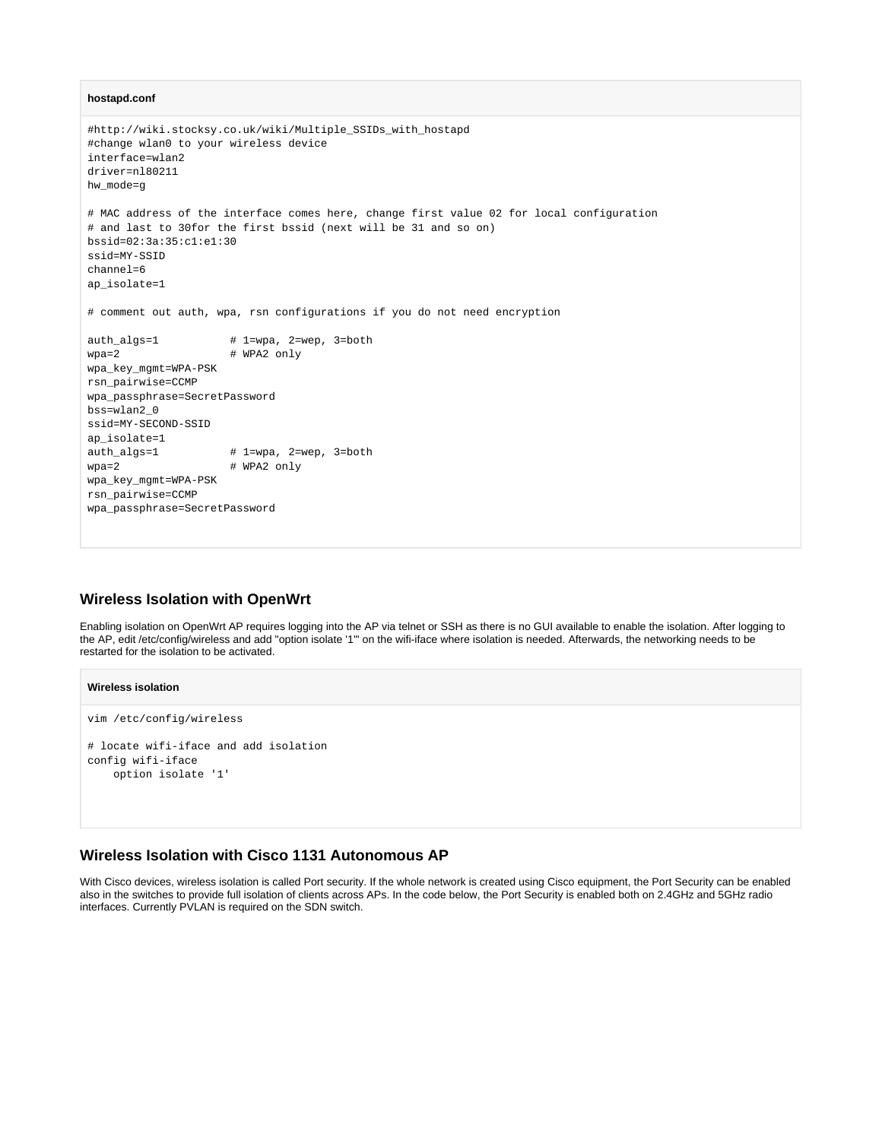#### **hostapd.conf**

```
#http://wiki.stocksy.co.uk/wiki/Multiple_SSIDs_with_hostapd
#change wlan0 to your wireless device
interface=wlan2
driver=nl80211
hw_mode=g
# MAC address of the interface comes here, change first value 02 for local configuration 
# and last to 30for the first bssid (next will be 31 and so on)
bssid=02:3a:35:c1:e1:30
ssid=MY-SSID
channel=6
ap_isolate=1
# comment out auth, wpa, rsn configurations if you do not need encryption
auth_algs=1  # 1=wpa, 2=wep, 3=both
wpa=2 # WPA2 only
wpa_key_mgmt=WPA-PSK
rsn_pairwise=CCMP
wpa_passphrase=SecretPassword
bss=wlan2_0
ssid=MY-SECOND-SSID
ap_isolate=1
auth_algs=1 # 1=wpa, 2=wep, 3=both
wpa=2 # WPA2 only
wpa_key_mgmt=WPA-PSK
rsn_pairwise=CCMP
wpa_passphrase=SecretPassword
```
## <span id="page-4-0"></span>**Wireless Isolation with OpenWrt**

Enabling isolation on OpenWrt AP requires logging into the AP via telnet or SSH as there is no GUI available to enable the isolation. After logging to the AP, edit /etc/config/wireless and add "option isolate '1'" on the wifi-iface where isolation is needed. Afterwards, the networking needs to be restarted for the isolation to be activated.

#### **Wireless isolation**

```
vim /etc/config/wireless
```

```
# locate wifi-iface and add isolation
config wifi-iface
     option isolate '1'
```
## <span id="page-4-1"></span>**Wireless Isolation with Cisco 1131 Autonomous AP**

With Cisco devices, wireless isolation is called Port security. If the whole network is created using Cisco equipment, the Port Security can be enabled also in the switches to provide full isolation of clients across APs. In the code below, the Port Security is enabled both on 2.4GHz and 5GHz radio interfaces. Currently PVLAN is required on the SDN switch.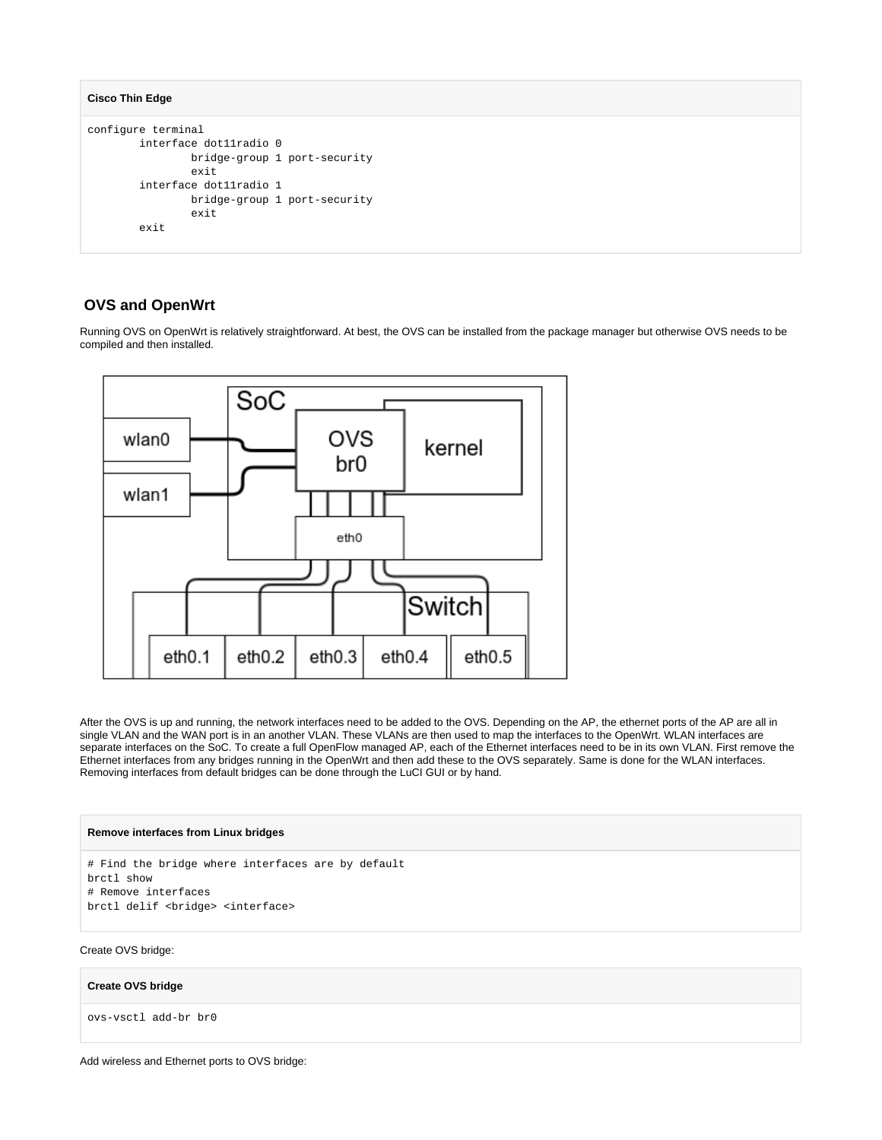```
Cisco Thin Edge
```

```
configure terminal
         interface dot11radio 0
                 bridge-group 1 port-security
                 exit
         interface dot11radio 1
                 bridge-group 1 port-security
                  exit
         exit
```
## <span id="page-5-0"></span> **OVS and OpenWrt**

Running OVS on OpenWrt is relatively straightforward. At best, the OVS can be installed from the package manager but otherwise OVS needs to be compiled and then installed.



After the OVS is up and running, the network interfaces need to be added to the OVS. Depending on the AP, the ethernet ports of the AP are all in single VLAN and the WAN port is in an another VLAN. These VLANs are then used to map the interfaces to the OpenWrt. WLAN interfaces are separate interfaces on the SoC. To create a full OpenFlow managed AP, each of the Ethernet interfaces need to be in its own VLAN. First remove the Ethernet interfaces from any bridges running in the OpenWrt and then add these to the OVS separately. Same is done for the WLAN interfaces. Removing interfaces from default bridges can be done through the LuCI GUI or by hand.

#### **Remove interfaces from Linux bridges**

```
# Find the bridge where interfaces are by default
brctl show
# Remove interfaces
brctl delif <br/> <br/>bridge> <interface>
```
Create OVS bridge:

**Create OVS bridge**

ovs-vsctl add-br br0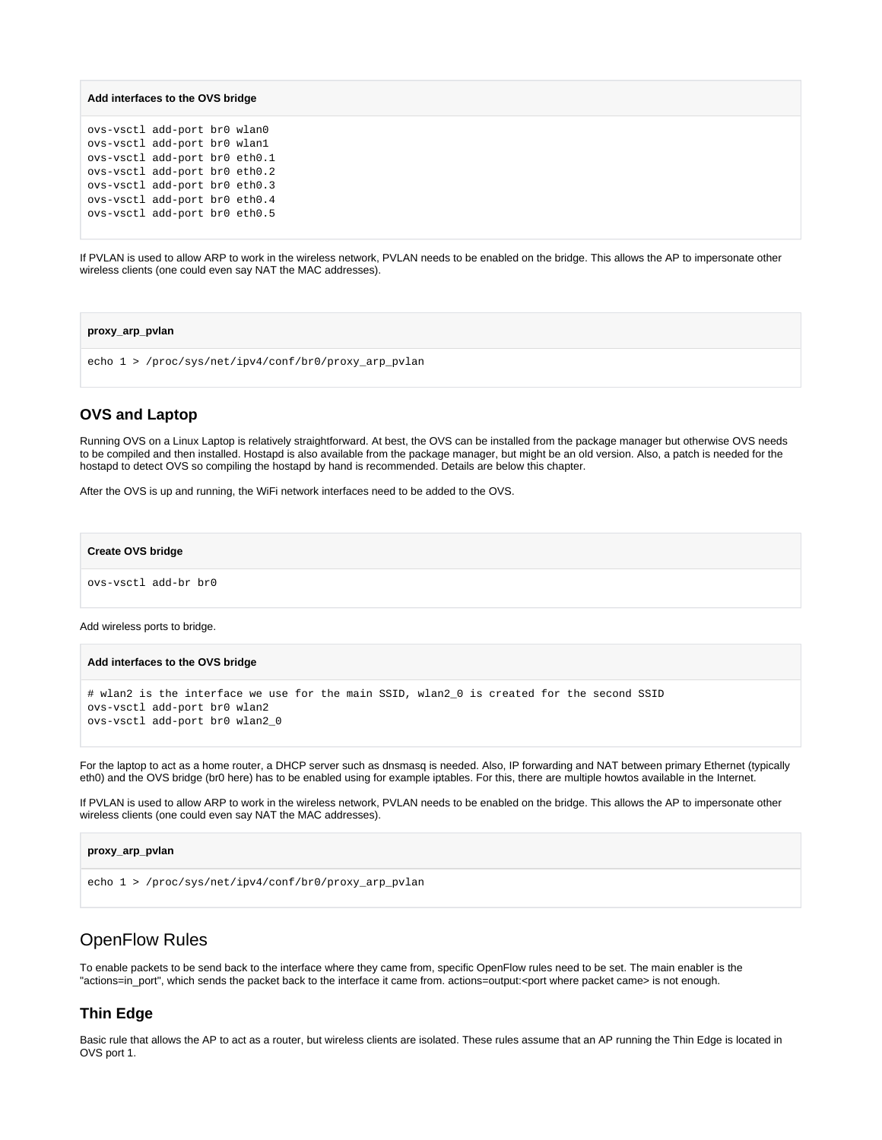```
Add interfaces to the OVS bridge
```
ovs-vsctl add-port br0 wlan0 ovs-vsctl add-port br0 wlan1 ovs-vsctl add-port br0 eth0.1 ovs-vsctl add-port br0 eth0.2 ovs-vsctl add-port br0 eth0.3 ovs-vsctl add-port br0 eth0.4 ovs-vsctl add-port br0 eth0.5

If PVLAN is used to allow ARP to work in the wireless network, PVLAN needs to be enabled on the bridge. This allows the AP to impersonate other wireless clients (one could even say NAT the MAC addresses).

#### **proxy\_arp\_pvlan**

echo 1 > /proc/sys/net/ipv4/conf/br0/proxy arp pvlan

## <span id="page-6-0"></span>**OVS and Laptop**

Running OVS on a Linux Laptop is relatively straightforward. At best, the OVS can be installed from the package manager but otherwise OVS needs to be compiled and then installed. Hostapd is also available from the package manager, but might be an old version. Also, a patch is needed for the hostapd to detect OVS so compiling the hostapd by hand is recommended. Details are below this chapter.

After the OVS is up and running, the WiFi network interfaces need to be added to the OVS.

**Create OVS bridge**

ovs-vsctl add-br br0

Add wireless ports to bridge.

#### **Add interfaces to the OVS bridge**

```
# wlan2 is the interface we use for the main SSID, wlan2_0 is created for the second SSID
ovs-vsctl add-port br0 wlan2
ovs-vsctl add-port br0 wlan2_0
```
For the laptop to act as a home router, a DHCP server such as dnsmasq is needed. Also, IP forwarding and NAT between primary Ethernet (typically eth0) and the OVS bridge (br0 here) has to be enabled using for example iptables. For this, there are multiple howtos available in the Internet.

If PVLAN is used to allow ARP to work in the wireless network, PVLAN needs to be enabled on the bridge. This allows the AP to impersonate other wireless clients (one could even say NAT the MAC addresses).

```
proxy_arp_pvlan
echo 1 > /proc/sys/net/ipv4/conf/br0/proxy arp pvlan
```
## <span id="page-6-1"></span>OpenFlow Rules

To enable packets to be send back to the interface where they came from, specific OpenFlow rules need to be set. The main enabler is the "actions=in\_port", which sends the packet back to the interface it came from. actions=output:<port where packet came> is not enough.

## <span id="page-6-2"></span>**Thin Edge**

Basic rule that allows the AP to act as a router, but wireless clients are isolated. These rules assume that an AP running the Thin Edge is located in OVS port 1.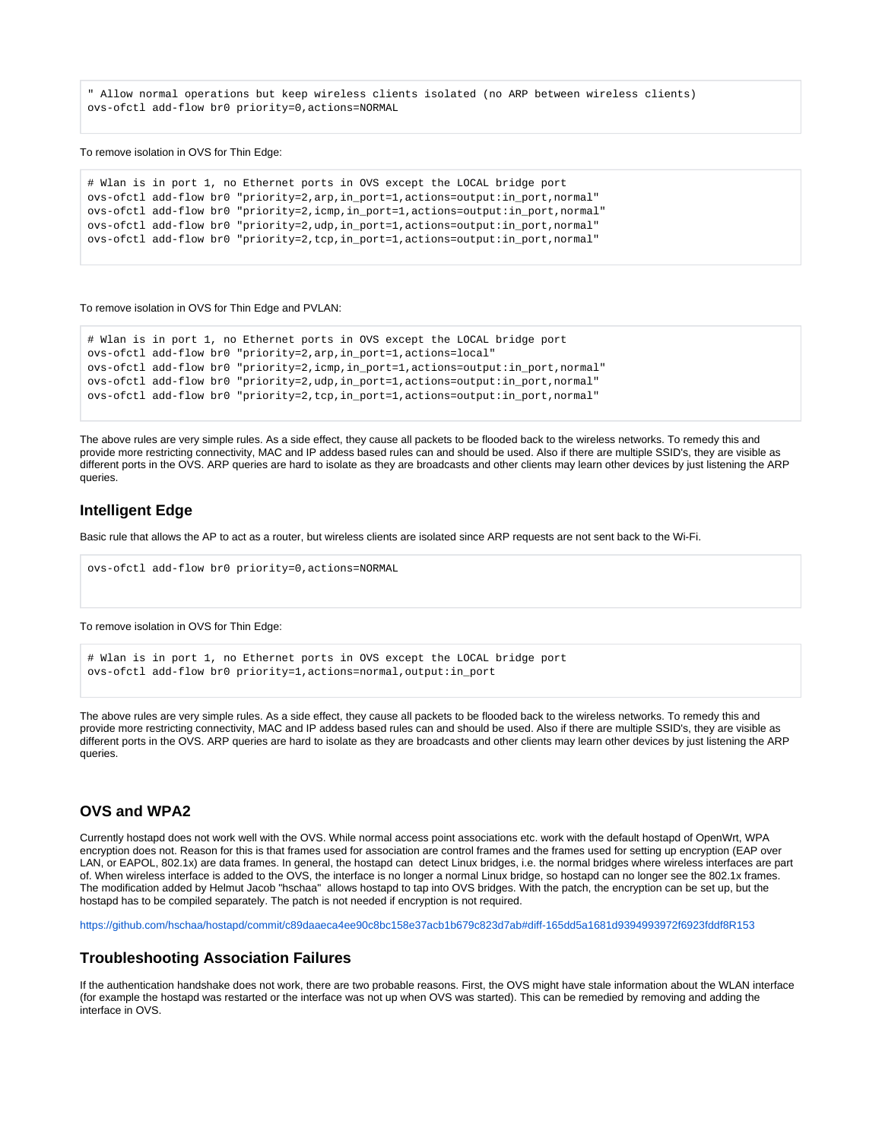" Allow normal operations but keep wireless clients isolated (no ARP between wireless clients) ovs-ofctl add-flow br0 priority=0,actions=NORMAL

#### To remove isolation in OVS for Thin Edge:

```
# Wlan is in port 1, no Ethernet ports in OVS except the LOCAL bridge port
ovs-ofctl add-flow br0 "priority=2,arp,in_port=1,actions=output:in_port,normal"
ovs-ofctl add-flow br0 "priority=2,icmp,in_port=1,actions=output:in_port,normal"
ovs-ofctl add-flow br0 "priority=2,udp,in_port=1,actions=output:in_port,normal"
ovs-ofctl add-flow br0 "priority=2,tcp,in_port=1,actions=output:in_port,normal"
```
#### To remove isolation in OVS for Thin Edge and PVLAN:

```
# Wlan is in port 1, no Ethernet ports in OVS except the LOCAL bridge port
ovs-ofctl add-flow br0 "priority=2,arp,in_port=1,actions=local"
ovs-ofctl add-flow br0 "priority=2,icmp,in_port=1,actions=output:in_port,normal"
ovs-ofctl add-flow br0 "priority=2,udp,in_port=1,actions=output:in_port,normal"
ovs-ofctl add-flow br0 "priority=2,tcp,in_port=1,actions=output:in_port,normal"
```
The above rules are very simple rules. As a side effect, they cause all packets to be flooded back to the wireless networks. To remedy this and provide more restricting connectivity, MAC and IP addess based rules can and should be used. Also if there are multiple SSID's, they are visible as different ports in the OVS. ARP queries are hard to isolate as they are broadcasts and other clients may learn other devices by just listening the ARP queries.

## <span id="page-7-0"></span>**Intelligent Edge**

Basic rule that allows the AP to act as a router, but wireless clients are isolated since ARP requests are not sent back to the Wi-Fi.

```
ovs-ofctl add-flow br0 priority=0,actions=NORMAL
```
#### To remove isolation in OVS for Thin Edge:

```
# Wlan is in port 1, no Ethernet ports in OVS except the LOCAL bridge port
ovs-ofctl add-flow br0 priority=1,actions=normal,output:in_port
```
The above rules are very simple rules. As a side effect, they cause all packets to be flooded back to the wireless networks. To remedy this and provide more restricting connectivity, MAC and IP addess based rules can and should be used. Also if there are multiple SSID's, they are visible as different ports in the OVS. ARP queries are hard to isolate as they are broadcasts and other clients may learn other devices by just listening the ARP queries.

## <span id="page-7-1"></span>**OVS and WPA2**

Currently hostapd does not work well with the OVS. While normal access point associations etc. work with the default hostapd of OpenWrt, WPA encryption does not. Reason for this is that frames used for association are control frames and the frames used for setting up encryption (EAP over LAN, or EAPOL, 802.1x) are data frames. In general, the hostapd can detect Linux bridges, i.e. the normal bridges where wireless interfaces are part of. When wireless interface is added to the OVS, the interface is no longer a normal Linux bridge, so hostapd can no longer see the 802.1x frames. The modification added by Helmut Jacob "hschaa" allows hostapd to tap into OVS bridges. With the patch, the encryption can be set up, but the hostapd has to be compiled separately. The patch is not needed if encryption is not required.

<https://github.com/hschaa/hostapd/commit/c89daaeca4ee90c8bc158e37acb1b679c823d7ab#diff-165dd5a1681d9394993972f6923fddf8R153>

## <span id="page-7-2"></span>**Troubleshooting Association Failures**

If the authentication handshake does not work, there are two probable reasons. First, the OVS might have stale information about the WLAN interface (for example the hostapd was restarted or the interface was not up when OVS was started). This can be remedied by removing and adding the interface in OVS.